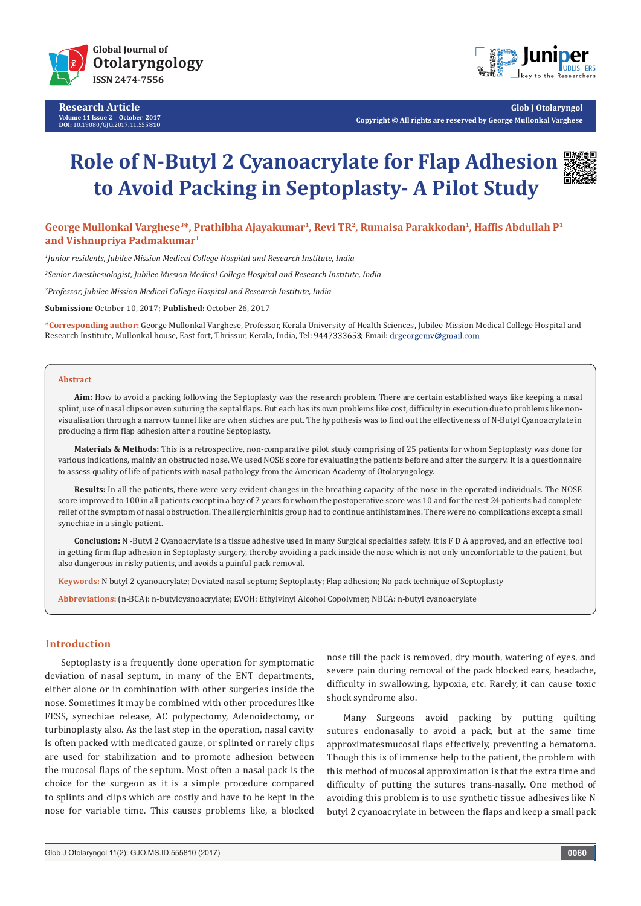

**Research Article Volume 11 Issue 2** - **October 2017 DOI:** [10.19080/GJO.2017.11.555](http://dx.doi.org/10.19080/GJO.2017.11.555810)**810**



**Glob J Otolaryngol Copyright © All rights are reserved by George Mullonkal Varghese**

# **Role of N-Butyl 2 Cyanoacrylate for Flap Adhesion to Avoid Packing in Septoplasty- A Pilot Study**



**George Mullonkal Varghese3\*, Prathibha Ajayakumar1, Revi TR2, Rumaisa Parakkodan1, Haffis Abdullah P<sup>1</sup> and Vishnupriya Padmakumar1**

*1 Junior residents, Jubilee Mission Medical College Hospital and Research Institute, India*

*2 Senior Anesthesiologist, Jubilee Mission Medical College Hospital and Research Institute, India*

*3 Professor, Jubilee Mission Medical College Hospital and Research Institute, India*

**Submission:** October 10, 2017; **Published:** October 26, 2017

**\*Corresponding author:** George Mullonkal Varghese, Professor, Kerala University of Health Sciences, Jubilee Mission Medical College Hospital and Research Institute, Mullonkal house, East fort, Thrissur, Kerala, India, Tel: 9447333653; Email: drgeorgemv@gmail.com

#### **Abstract**

**Aim:** How to avoid a packing following the Septoplasty was the research problem. There are certain established ways like keeping a nasal splint, use of nasal clips or even suturing the septal flaps. But each has its own problems like cost, difficulty in execution due to problems like nonvisualisation through a narrow tunnel like are when stiches are put. The hypothesis was to find out the effectiveness of N-Butyl Cyanoacrylate in producing a firm flap adhesion after a routine Septoplasty.

**Materials & Methods:** This is a retrospective, non-comparative pilot study comprising of 25 patients for whom Septoplasty was done for various indications, mainly an obstructed nose. We used NOSE score for evaluating the patients before and after the surgery. It is a questionnaire to assess quality of life of patients with nasal pathology from the American Academy of Otolaryngology.

**Results:** In all the patients, there were very evident changes in the breathing capacity of the nose in the operated individuals. The NOSE score improved to 100 in all patients except in a boy of 7 years for whom the postoperative score was 10 and for the rest 24 patients had complete relief of the symptom of nasal obstruction. The allergic rhinitis group had to continue antihistamines. There were no complications except a small synechiae in a single patient.

**Conclusion:** N -Butyl 2 Cyanoacrylate is a tissue adhesive used in many Surgical specialties safely. It is F D A approved, and an effective tool in getting firm flap adhesion in Septoplasty surgery, thereby avoiding a pack inside the nose which is not only uncomfortable to the patient, but also dangerous in risky patients, and avoids a painful pack removal.

**Keywords:** N butyl 2 cyanoacrylate; Deviated nasal septum; Septoplasty; Flap adhesion; No pack technique of Septoplasty

**Abbreviations:** (n-BCA): n-butylcyanoacrylate; EVOH: Ethylvinyl Alcohol Copolymer; NBCA: n-butyl cyanoacrylate

# **Introduction**

Septoplasty is a frequently done operation for symptomatic deviation of nasal septum, in many of the ENT departments, either alone or in combination with other surgeries inside the nose. Sometimes it may be combined with other procedures like FESS, synechiae release, AC polypectomy, Adenoidectomy, or turbinoplasty also. As the last step in the operation, nasal cavity is often packed with medicated gauze, or splinted or rarely clips are used for stabilization and to promote adhesion between the mucosal flaps of the septum. Most often a nasal pack is the choice for the surgeon as it is a simple procedure compared to splints and clips which are costly and have to be kept in the nose for variable time. This causes problems like, a blocked

nose till the pack is removed, dry mouth, watering of eyes, and severe pain during removal of the pack blocked ears, headache, difficulty in swallowing, hypoxia, etc. Rarely, it can cause toxic shock syndrome also.

Many Surgeons avoid packing by putting quilting sutures endonasally to avoid a pack, but at the same time approximatesmucosal flaps effectively, preventing a hematoma. Though this is of immense help to the patient, the problem with this method of mucosal approximation is that the extra time and difficulty of putting the sutures trans-nasally. One method of avoiding this problem is to use synthetic tissue adhesives like N butyl 2 cyanoacrylate in between the flaps and keep a small pack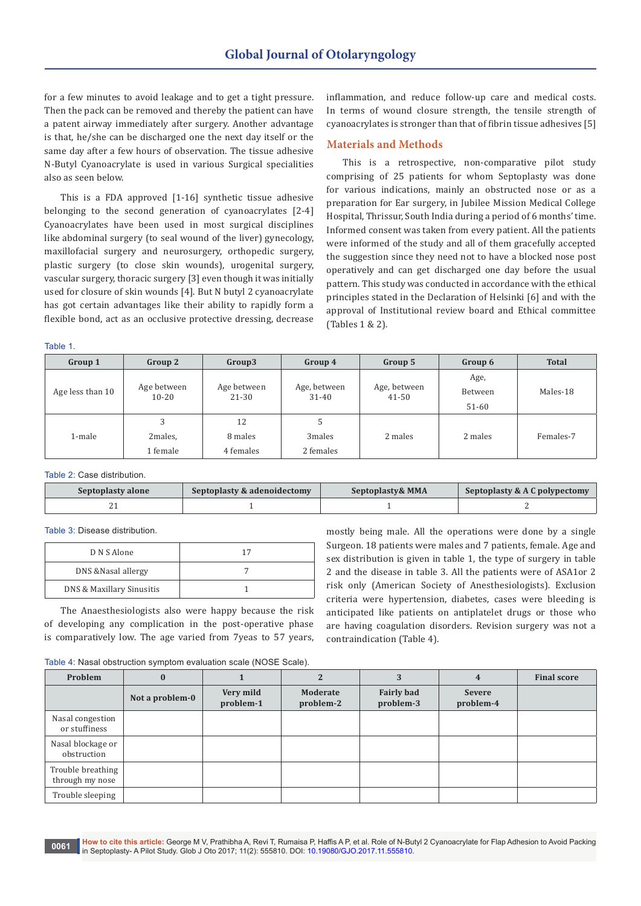for a few minutes to avoid leakage and to get a tight pressure. Then the pack can be removed and thereby the patient can have a patent airway immediately after surgery. Another advantage is that, he/she can be discharged one the next day itself or the same day after a few hours of observation. The tissue adhesive N-Butyl Cyanoacrylate is used in various Surgical specialities also as seen below.

This is a FDA approved [1-16] synthetic tissue adhesive belonging to the second generation of cyanoacrylates [2-4] Cyanoacrylates have been used in most surgical disciplines like abdominal surgery (to seal wound of the liver) gynecology, maxillofacial surgery and neurosurgery, orthopedic surgery, plastic surgery (to close skin wounds), urogenital surgery, vascular surgery, thoracic surgery [3] even though it was initially used for closure of skin wounds [4]. But N butyl 2 cyanoacrylate has got certain advantages like their ability to rapidly form a flexible bond, act as an occlusive protective dressing, decrease inflammation, and reduce follow-up care and medical costs. In terms of wound closure strength, the tensile strength of cyanoacrylates is stronger than that of fibrin tissue adhesives [5]

### **Materials and Methods**

This is a retrospective, non-comparative pilot study comprising of 25 patients for whom Septoplasty was done for various indications, mainly an obstructed nose or as a preparation for Ear surgery, in Jubilee Mission Medical College Hospital, Thrissur, South India during a period of 6 months' time. Informed consent was taken from every patient. All the patients were informed of the study and all of them gracefully accepted the suggestion since they need not to have a blocked nose post operatively and can get discharged one day before the usual pattern. This study was conducted in accordance with the ethical principles stated in the Declaration of Helsinki [6] and with the approval of Institutional review board and Ethical committee (Tables 1 & 2).

Table 1.

| Group 1          | Group 2                  | Group3                   | Group 4                   | Group 5                   | Group 6                    | <b>Total</b> |
|------------------|--------------------------|--------------------------|---------------------------|---------------------------|----------------------------|--------------|
| Age less than 10 | Age between<br>$10 - 20$ | Age between<br>$21 - 30$ | Age, between<br>$31 - 40$ | Age, between<br>$41 - 50$ | Age,<br>Between<br>$51-60$ | Males-18     |
|                  | 3                        | 12                       |                           |                           |                            |              |
| 1-male           | 2males,                  | 8 males                  | 3 <sub>males</sub>        | 2 males                   | 2 males                    | Females-7    |
|                  | 1 female                 | 4 females                | 2 females                 |                           |                            |              |

Table 2: Case distribution.

| Septoplasty alone | Septoplasty & adenoidectomy | Septoplasty & MMA | Septoplasty & A C polypectomy |
|-------------------|-----------------------------|-------------------|-------------------------------|
|                   |                             |                   |                               |

Table 3: Disease distribution.

| D N S Alone               | 17 |
|---------------------------|----|
| DNS & Nasal allergy       |    |
| DNS & Maxillary Sinusitis |    |

The Anaesthesiologists also were happy because the risk of developing any complication in the post-operative phase is comparatively low. The age varied from 7yeas to 57 years, mostly being male. All the operations were done by a single Surgeon. 18 patients were males and 7 patients, female. Age and sex distribution is given in table 1, the type of surgery in table 2 and the disease in table 3. All the patients were of ASA1or 2 risk only (American Society of Anesthesiologists). Exclusion criteria were hypertension, diabetes, cases were bleeding is anticipated like patients on antiplatelet drugs or those who are having coagulation disorders. Revision surgery was not a contraindication (Table 4).

Table 4: Nasal obstruction symptom evaluation scale (NOSE Scale).

| Problem                              | $\bf{0}$        |                        |                       | 3                              | 4                          | <b>Final score</b> |
|--------------------------------------|-----------------|------------------------|-----------------------|--------------------------------|----------------------------|--------------------|
|                                      | Not a problem-0 | Very mild<br>problem-1 | Moderate<br>problem-2 | <b>Fairly bad</b><br>problem-3 | <b>Severe</b><br>problem-4 |                    |
| Nasal congestion<br>or stuffiness    |                 |                        |                       |                                |                            |                    |
| Nasal blockage or<br>obstruction     |                 |                        |                       |                                |                            |                    |
| Trouble breathing<br>through my nose |                 |                        |                       |                                |                            |                    |
| Trouble sleeping                     |                 |                        |                       |                                |                            |                    |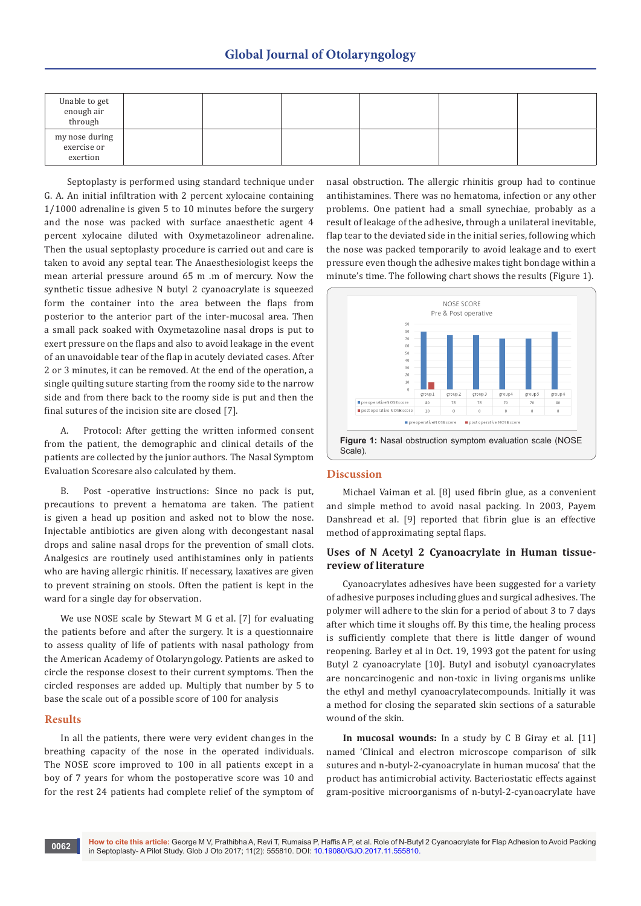| Unable to get<br>enough air<br>through    |  |  |  |
|-------------------------------------------|--|--|--|
| my nose during<br>exercise or<br>exertion |  |  |  |

 Septoplasty is performed using standard technique under G. A. An initial infiltration with 2 percent xylocaine containing 1/1000 adrenaline is given 5 to 10 minutes before the surgery and the nose was packed with surface anaesthetic agent 4 percent xylocaine diluted with Oxymetazolineor adrenaline. Then the usual septoplasty procedure is carried out and care is taken to avoid any septal tear. The Anaesthesiologist keeps the mean arterial pressure around 65 m .m of mercury. Now the synthetic tissue adhesive N butyl 2 cyanoacrylate is squeezed form the container into the area between the flaps from posterior to the anterior part of the inter-mucosal area. Then a small pack soaked with Oxymetazoline nasal drops is put to exert pressure on the flaps and also to avoid leakage in the event of an unavoidable tear of the flap in acutely deviated cases. After 2 or 3 minutes, it can be removed. At the end of the operation, a single quilting suture starting from the roomy side to the narrow side and from there back to the roomy side is put and then the final sutures of the incision site are closed [7].

A. Protocol: After getting the written informed consent from the patient, the demographic and clinical details of the patients are collected by the junior authors. The Nasal Symptom Evaluation Scoresare also calculated by them.

B. Post -operative instructions: Since no pack is put, precautions to prevent a hematoma are taken. The patient is given a head up position and asked not to blow the nose. Injectable antibiotics are given along with decongestant nasal drops and saline nasal drops for the prevention of small clots. Analgesics are routinely used antihistamines only in patients who are having allergic rhinitis. If necessary, laxatives are given to prevent straining on stools. Often the patient is kept in the ward for a single day for observation.

We use NOSE scale by Stewart M G et al. [7] for evaluating the patients before and after the surgery. It is a questionnaire to assess quality of life of patients with nasal pathology from the American Academy of Otolaryngology. Patients are asked to circle the response closest to their current symptoms. Then the circled responses are added up. Multiply that number by 5 to base the scale out of a possible score of 100 for analysis

## **Results**

In all the patients, there were very evident changes in the breathing capacity of the nose in the operated individuals. The NOSE score improved to 100 in all patients except in a boy of 7 years for whom the postoperative score was 10 and for the rest 24 patients had complete relief of the symptom of nasal obstruction. The allergic rhinitis group had to continue antihistamines. There was no hematoma, infection or any other problems. One patient had a small synechiae, probably as a result of leakage of the adhesive, through a unilateral inevitable, flap tear to the deviated side in the initial series, following which the nose was packed temporarily to avoid leakage and to exert pressure even though the adhesive makes tight bondage within a minute's time. The following chart shows the results (Figure 1).



#### **Discussion**

Michael Vaiman et al. [8] used fibrin glue, as a convenient and simple method to avoid nasal packing. In 2003, Payem Danshread et al. [9] reported that fibrin glue is an effective method of approximating septal flaps.

# **Uses of N Acetyl 2 Cyanoacrylate in Human tissuereview of literature**

Cyanoacrylates adhesives have been suggested for a variety of adhesive purposes including glues and surgical adhesives. The polymer will adhere to the skin for a period of about 3 to 7 days after which time it sloughs off. By this time, the healing process is sufficiently complete that there is little danger of wound reopening. Barley et al in Oct. 19, 1993 got the patent for using Butyl 2 cyanoacrylate [10]. Butyl and isobutyl cyanoacrylates are noncarcinogenic and non-toxic in living organisms unlike the ethyl and methyl cyanoacrylatecompounds. Initially it was a method for closing the separated skin sections of a saturable wound of the skin.

**In mucosal wounds:** In a study by C B Giray et al. [11] named 'Clinical and electron microscope comparison of silk sutures and n-butyl-2-cyanoacrylate in human mucosa' that the product has antimicrobial activity. Bacteriostatic effects against gram-positive microorganisms of n-butyl-2-cyanoacrylate have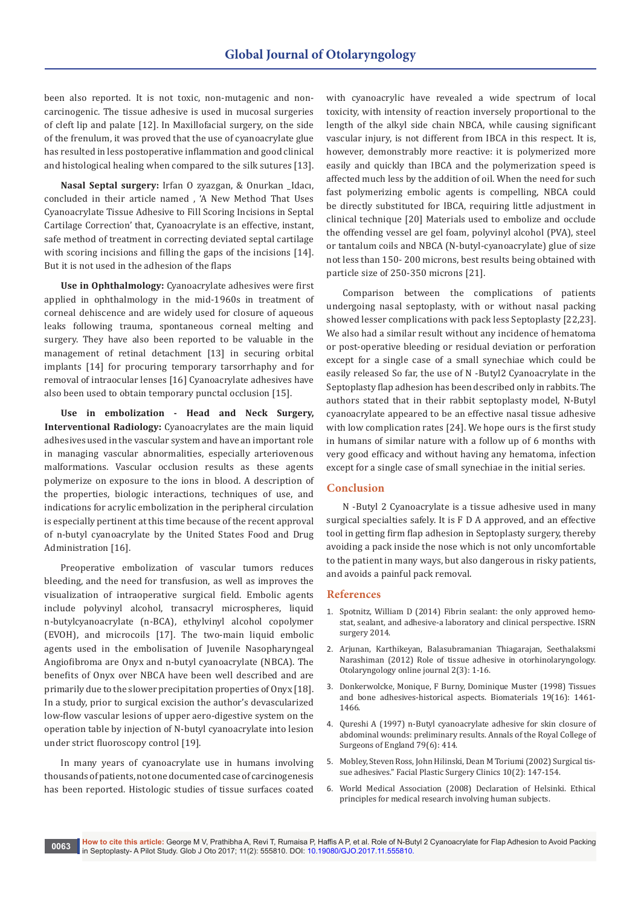been also reported. It is not toxic, non-mutagenic and noncarcinogenic. The tissue adhesive is used in mucosal surgeries of cleft lip and palate [12]. In Maxillofacial surgery, on the side of the frenulum, it was proved that the use of cyanoacrylate glue has resulted in less postoperative inflammation and good clinical and histological healing when compared to the silk sutures [13].

**Nasal Septal surgery:** Irfan O zyazgan, & Onurkan \_Idacı, concluded in their article named , 'A New Method That Uses Cyanoacrylate Tissue Adhesive to Fill Scoring Incisions in Septal Cartilage Correction' that, Cyanoacrylate is an effective, instant, safe method of treatment in correcting deviated septal cartilage with scoring incisions and filling the gaps of the incisions [14]. But it is not used in the adhesion of the flaps

**Use in Ophthalmology:** Cyanoacrylate adhesives were first applied in ophthalmology in the mid-1960s in treatment of corneal dehiscence and are widely used for closure of aqueous leaks following trauma, spontaneous corneal melting and surgery. They have also been reported to be valuable in the management of retinal detachment [13] in securing orbital implants [14] for procuring temporary tarsorrhaphy and for removal of intraocular lenses [16] Cyanoacrylate adhesives have also been used to obtain temporary punctal occlusion [15].

**Use in embolization - Head and Neck Surgery, Interventional Radiology:** Cyanoacrylates are the main liquid adhesives used in the vascular system and have an important role in managing vascular abnormalities, especially arteriovenous malformations. Vascular occlusion results as these agents polymerize on exposure to the ions in blood. A description of the properties, biologic interactions, techniques of use, and indications for acrylic embolization in the peripheral circulation is especially pertinent at this time because of the recent approval of n-butyl cyanoacrylate by the United States Food and Drug Administration [16].

Preoperative embolization of vascular tumors reduces bleeding, and the need for transfusion, as well as improves the visualization of intraoperative surgical field. Embolic agents include polyvinyl alcohol, transacryl microspheres, liquid n-butylcyanoacrylate (n-BCA), ethylvinyl alcohol copolymer (EVOH), and microcoils [17]. The two-main liquid embolic agents used in the embolisation of Juvenile Nasopharyngeal Angiofibroma are Onyx and n-butyl cyanoacrylate (NBCA). The benefits of Onyx over NBCA have been well described and are primarily due to the slower precipitation properties of Onyx [18]. In a study, prior to surgical excision the author's devascularized low-flow vascular lesions of upper aero-digestive system on the operation table by injection of N-butyl cyanoacrylate into lesion under strict fluoroscopy control [19].

In many years of cyanoacrylate use in humans involving thousands of patients, not one documented case of carcinogenesis has been reported. Histologic studies of tissue surfaces coated with cyanoacrylic have revealed a wide spectrum of local toxicity, with intensity of reaction inversely proportional to the length of the alkyl side chain NBCA, while causing significant vascular injury, is not different from IBCA in this respect. It is, however, demonstrably more reactive: it is polymerized more easily and quickly than IBCA and the polymerization speed is affected much less by the addition of oil. When the need for such fast polymerizing embolic agents is compelling, NBCA could be directly substituted for IBCA, requiring little adjustment in clinical technique [20] Materials used to embolize and occlude the offending vessel are gel foam, polyvinyl alcohol (PVA), steel or tantalum coils and NBCA (N-butyl-cyanoacrylate) glue of size not less than 150- 200 microns, best results being obtained with particle size of 250-350 microns [21].

Comparison between the complications of patients undergoing nasal septoplasty, with or without nasal packing showed lesser complications with pack less Septoplasty [22,23]. We also had a similar result without any incidence of hematoma or post-operative bleeding or residual deviation or perforation except for a single case of a small synechiae which could be easily released So far, the use of N -Butyl2 Cyanoacrylate in the Septoplasty flap adhesion has been described only in rabbits. The authors stated that in their rabbit septoplasty model, N-Butyl cyanoacrylate appeared to be an effective nasal tissue adhesive with low complication rates [24]. We hope ours is the first study in humans of similar nature with a follow up of 6 months with very good efficacy and without having any hematoma, infection except for a single case of small synechiae in the initial series.

# **Conclusion**

N -Butyl 2 Cyanoacrylate is a tissue adhesive used in many surgical specialties safely. It is F D A approved, and an effective tool in getting firm flap adhesion in Septoplasty surgery, thereby avoiding a pack inside the nose which is not only uncomfortable to the patient in many ways, but also dangerous in risky patients, and avoids a painful pack removal.

#### **References**

- 1. [Spotnitz, William D \(2014\) Fibrin sealant: the only approved hemo](http://downloads.hindawi.com/journals/isrn.surgery/2014/203943.pdf)[stat, sealant, and adhesive-a laboratory and clinical perspective.](http://downloads.hindawi.com/journals/isrn.surgery/2014/203943.pdf) ISRN [surgery](http://downloads.hindawi.com/journals/isrn.surgery/2014/203943.pdf) 2014.
- 2. [Arjunan, Karthikeyan, Balasubramanian Thiagarajan, Seethalaksmi](http://www.alliedacademies.org/abstract/role-of-tissue-adhesive-in-otorhinolaryngology-3992.html)  [Narashiman \(2012\) Role of tissue adhesive in otorhinolaryngology.](http://www.alliedacademies.org/abstract/role-of-tissue-adhesive-in-otorhinolaryngology-3992.html)  [Otolaryngology online journal](http://www.alliedacademies.org/abstract/role-of-tissue-adhesive-in-otorhinolaryngology-3992.html) 2(3): 1-16.
- 3. [Donkerwolcke, Monique, F Burny, Dominique Muster \(1998\) Tissues](http://www.sciencedirect.com/science/article/pii/S0142961298000593)  [and bone adhesives-historical aspects.](http://www.sciencedirect.com/science/article/pii/S0142961298000593) Biomaterials 19(16): 1461- [1466.](http://www.sciencedirect.com/science/article/pii/S0142961298000593)
- 4. [Qureshi A \(1997\) n-Butyl cyanoacrylate adhesive for skin closure of](https://www.ncbi.nlm.nih.gov/pmc/articles/PMC2502961/)  [abdominal wounds: preliminary results. Annals of the Royal College of](https://www.ncbi.nlm.nih.gov/pmc/articles/PMC2502961/)  [Surgeons of England](https://www.ncbi.nlm.nih.gov/pmc/articles/PMC2502961/) 79(6): 414.
- 5. [Mobley, Steven Ross, John Hilinski, Dean M Toriumi \(2002\) Surgical tis](http://www.journals.elsevierhealth.com/article/S1064-7406(02)00014-7/fulltext)sue adhesives." [Facial Plastic Surgery Clinics](http://www.journals.elsevierhealth.com/article/S1064-7406(02)00014-7/fulltext) 10(2): 147-154.
- 6. [World Medical Association \(2008\) Declaration of Helsinki. Ethical](http://ci.nii.ac.jp/naid/10021949345/)  [principles for medical research involving human subjects.](http://ci.nii.ac.jp/naid/10021949345/)